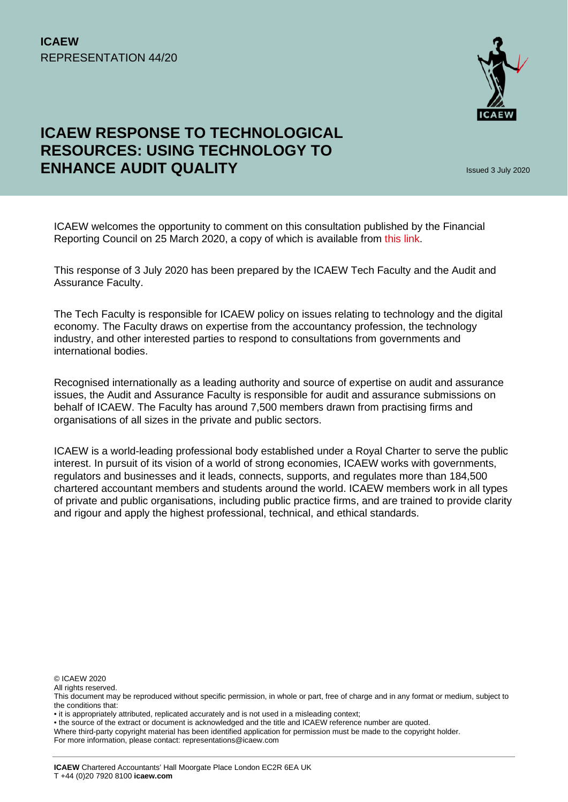

# **ICAEW RESPONSE TO TECHNOLOGICAL RESOURCES: USING TECHNOLOGY TO ENHANCE AUDIT QUALITY In the case of the CAU and S** Issued 3 July 2020

ICAEW welcomes the opportunity to comment on this consultation published by the Financial Reporting Council on 25 March 2020, a copy of which is available from this link.

This response of 3 July 2020 has been prepared by the ICAEW Tech Faculty and the Audit and Assurance Faculty.

The Tech Faculty is responsible for ICAEW policy on issues relating to technology and the digital economy. The Faculty draws on expertise from the accountancy profession, the technology industry, and other interested parties to respond to consultations from governments and international bodies.

Recognised internationally as a leading authority and source of expertise on audit and assurance issues, the Audit and Assurance Faculty is responsible for audit and assurance submissions on behalf of ICAEW. The Faculty has around 7,500 members drawn from practising firms and organisations of all sizes in the private and public sectors.

ICAEW is a world-leading professional body established under a Royal Charter to serve the public interest. In pursuit of its vision of a world of strong economies, ICAEW works with governments, regulators and businesses and it leads, connects, supports, and regulates more than 184,500 chartered accountant members and students around the world. ICAEW members work in all types of private and public organisations, including public practice firms, and are trained to provide clarity and rigour and apply the highest professional, technical, and ethical standards.

© ICAEW 2020

All rights reserved

• the source of the extract or document is acknowledged and the title and ICAEW reference number are quoted.

For more information, please contact: representations@icaew.com

This document may be reproduced without specific permission, in whole or part, free of charge and in any format or medium, subject to the conditions that:

<sup>•</sup> it is appropriately attributed, replicated accurately and is not used in a misleading context;

Where third-party copyright material has been identified application for permission must be made to the copyright holder.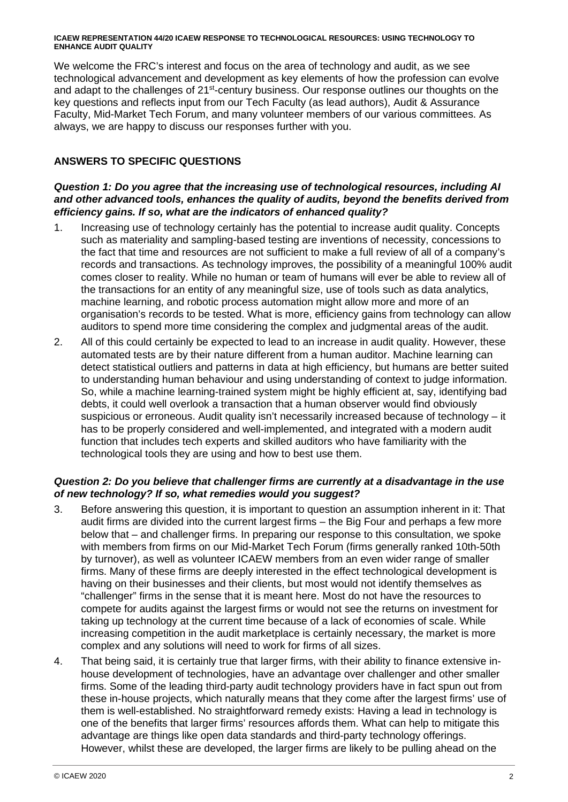We welcome the FRC's interest and focus on the area of technology and audit, as we see technological advancement and development as key elements of how the profession can evolve and adapt to the challenges of 21<sup>st-</sup>century business. Our response outlines our thoughts on the key questions and reflects input from our Tech Faculty (as lead authors), Audit & Assurance Faculty, Mid-Market Tech Forum, and many volunteer members of our various committees. As always, we are happy to discuss our responses further with you.

# **ANSWERS TO SPECIFIC QUESTIONS**

# *Question 1: Do you agree that the increasing use of technological resources, including AI and other advanced tools, enhances the quality of audits, beyond the benefits derived from efficiency gains. If so, what are the indicators of enhanced quality?*

- 1. Increasing use of technology certainly has the potential to increase audit quality. Concepts such as materiality and sampling-based testing are inventions of necessity, concessions to the fact that time and resources are not sufficient to make a full review of all of a company's records and transactions. As technology improves, the possibility of a meaningful 100% audit comes closer to reality. While no human or team of humans will ever be able to review all of the transactions for an entity of any meaningful size, use of tools such as data analytics, machine learning, and robotic process automation might allow more and more of an organisation's records to be tested. What is more, efficiency gains from technology can allow auditors to spend more time considering the complex and judgmental areas of the audit.
- 2. All of this could certainly be expected to lead to an increase in audit quality. However, these automated tests are by their nature different from a human auditor. Machine learning can detect statistical outliers and patterns in data at high efficiency, but humans are better suited to understanding human behaviour and using understanding of context to judge information. So, while a machine learning-trained system might be highly efficient at, say, identifying bad debts, it could well overlook a transaction that a human observer would find obviously suspicious or erroneous. Audit quality isn't necessarily increased because of technology – it has to be properly considered and well-implemented, and integrated with a modern audit function that includes tech experts and skilled auditors who have familiarity with the technological tools they are using and how to best use them.

# *Question 2: Do you believe that challenger firms are currently at a disadvantage in the use of new technology? If so, what remedies would you suggest?*

- 3. Before answering this question, it is important to question an assumption inherent in it: That audit firms are divided into the current largest firms – the Big Four and perhaps a few more below that – and challenger firms. In preparing our response to this consultation, we spoke with members from firms on our Mid-Market Tech Forum (firms generally ranked 10th-50th by turnover), as well as volunteer ICAEW members from an even wider range of smaller firms. Many of these firms are deeply interested in the effect technological development is having on their businesses and their clients, but most would not identify themselves as "challenger" firms in the sense that it is meant here. Most do not have the resources to compete for audits against the largest firms or would not see the returns on investment for taking up technology at the current time because of a lack of economies of scale. While increasing competition in the audit marketplace is certainly necessary, the market is more complex and any solutions will need to work for firms of all sizes.
- 4. That being said, it is certainly true that larger firms, with their ability to finance extensive inhouse development of technologies, have an advantage over challenger and other smaller firms. Some of the leading third-party audit technology providers have in fact spun out from these in-house projects, which naturally means that they come after the largest firms' use of them is well-established. No straightforward remedy exists: Having a lead in technology is one of the benefits that larger firms' resources affords them. What can help to mitigate this advantage are things like open data standards and third-party technology offerings. However, whilst these are developed, the larger firms are likely to be pulling ahead on the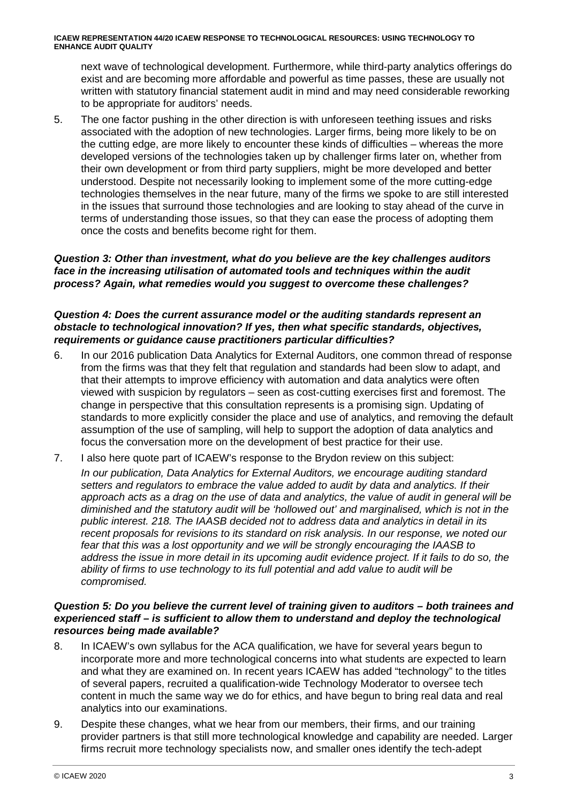next wave of technological development. Furthermore, while third-party analytics offerings do exist and are becoming more affordable and powerful as time passes, these are usually not written with statutory financial statement audit in mind and may need considerable reworking to be appropriate for auditors' needs.

5. The one factor pushing in the other direction is with unforeseen teething issues and risks associated with the adoption of new technologies. Larger firms, being more likely to be on the cutting edge, are more likely to encounter these kinds of difficulties – whereas the more developed versions of the technologies taken up by challenger firms later on, whether from their own development or from third party suppliers, might be more developed and better understood. Despite not necessarily looking to implement some of the more cutting-edge technologies themselves in the near future, many of the firms we spoke to are still interested in the issues that surround those technologies and are looking to stay ahead of the curve in terms of understanding those issues, so that they can ease the process of adopting them once the costs and benefits become right for them.

#### *Question 3: Other than investment, what do you believe are the key challenges auditors face in the increasing utilisation of automated tools and techniques within the audit process? Again, what remedies would you suggest to overcome these challenges?*

## *Question 4: Does the current assurance model or the auditing standards represent an obstacle to technological innovation? If yes, then what specific standards, objectives, requirements or guidance cause practitioners particular difficulties?*

- 6. In our 2016 publication Data Analytics for External Auditors, one common thread of response from the firms was that they felt that regulation and standards had been slow to adapt, and that their attempts to improve efficiency with automation and data analytics were often viewed with suspicion by regulators – seen as cost-cutting exercises first and foremost. The change in perspective that this consultation represents is a promising sign. Updating of standards to more explicitly consider the place and use of analytics, and removing the default assumption of the use of sampling, will help to support the adoption of data analytics and focus the conversation more on the development of best practice for their use.
- 7. I also here quote part of ICAEW's response to the Brydon review on this subject:

*In our publication, Data Analytics for External Auditors, we encourage auditing standard setters and regulators to embrace the value added to audit by data and analytics. If their approach acts as a drag on the use of data and analytics, the value of audit in general will be diminished and the statutory audit will be 'hollowed out' and marginalised, which is not in the public interest. 218. The IAASB decided not to address data and analytics in detail in its recent proposals for revisions to its standard on risk analysis. In our response, we noted our fear that this was a lost opportunity and we will be strongly encouraging the IAASB to*  address the issue in more detail in its upcoming audit evidence project. If it fails to do so, the *ability of firms to use technology to its full potential and add value to audit will be compromised.* 

#### *Question 5: Do you believe the current level of training given to auditors – both trainees and experienced staff – is sufficient to allow them to understand and deploy the technological resources being made available?*

- 8. In ICAEW's own syllabus for the ACA qualification, we have for several years begun to incorporate more and more technological concerns into what students are expected to learn and what they are examined on. In recent years ICAEW has added "technology" to the titles of several papers, recruited a qualification-wide Technology Moderator to oversee tech content in much the same way we do for ethics, and have begun to bring real data and real analytics into our examinations.
- 9. Despite these changes, what we hear from our members, their firms, and our training provider partners is that still more technological knowledge and capability are needed. Larger firms recruit more technology specialists now, and smaller ones identify the tech-adept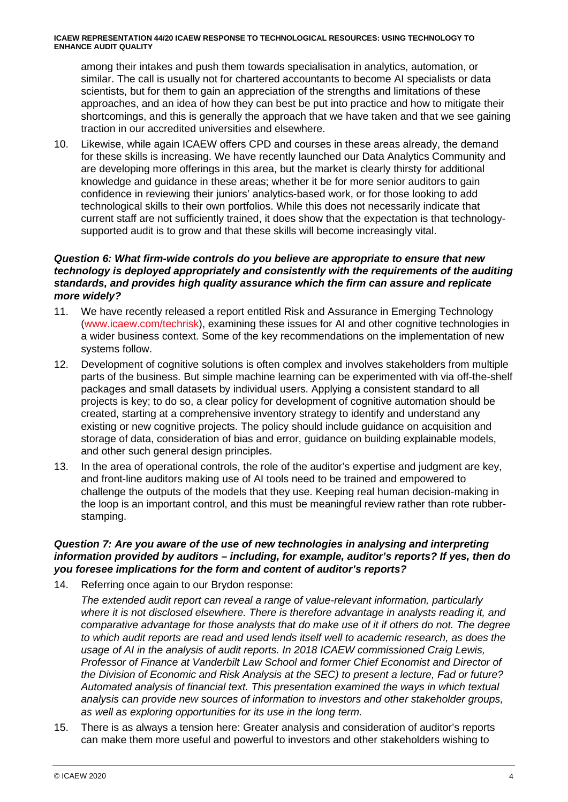among their intakes and push them towards specialisation in analytics, automation, or similar. The call is usually not for chartered accountants to become AI specialists or data scientists, but for them to gain an appreciation of the strengths and limitations of these approaches, and an idea of how they can best be put into practice and how to mitigate their shortcomings, and this is generally the approach that we have taken and that we see gaining traction in our accredited universities and elsewhere.

10. Likewise, while again ICAEW offers CPD and courses in these areas already, the demand for these skills is increasing. We have recently launched our Data Analytics Community and are developing more offerings in this area, but the market is clearly thirsty for additional knowledge and guidance in these areas; whether it be for more senior auditors to gain confidence in reviewing their juniors' analytics-based work, or for those looking to add technological skills to their own portfolios. While this does not necessarily indicate that current staff are not sufficiently trained, it does show that the expectation is that technologysupported audit is to grow and that these skills will become increasingly vital.

## *Question 6: What firm-wide controls do you believe are appropriate to ensure that new technology is deployed appropriately and consistently with the requirements of the auditing standards, and provides high quality assurance which the firm can assure and replicate more widely?*

- 11. We have recently released a report entitled Risk and Assurance in Emerging Technology (www.icaew.com/techrisk), examining these issues for AI and other cognitive technologies in a wider business context. Some of the key recommendations on the implementation of new systems follow.
- 12. Development of cognitive solutions is often complex and involves stakeholders from multiple parts of the business. But simple machine learning can be experimented with via off-the-shelf packages and small datasets by individual users. Applying a consistent standard to all projects is key; to do so, a clear policy for development of cognitive automation should be created, starting at a comprehensive inventory strategy to identify and understand any existing or new cognitive projects. The policy should include guidance on acquisition and storage of data, consideration of bias and error, guidance on building explainable models, and other such general design principles.
- 13. In the area of operational controls, the role of the auditor's expertise and judgment are key, and front-line auditors making use of AI tools need to be trained and empowered to challenge the outputs of the models that they use. Keeping real human decision-making in the loop is an important control, and this must be meaningful review rather than rote rubberstamping.

#### *Question 7: Are you aware of the use of new technologies in analysing and interpreting information provided by auditors – including, for example, auditor's reports? If yes, then do you foresee implications for the form and content of auditor's reports?*

14. Referring once again to our Brydon response:

*The extended audit report can reveal a range of value-relevant information, particularly where it is not disclosed elsewhere. There is therefore advantage in analysts reading it, and comparative advantage for those analysts that do make use of it if others do not. The degree to which audit reports are read and used lends itself well to academic research, as does the usage of AI in the analysis of audit reports. In 2018 ICAEW commissioned Craig Lewis, Professor of Finance at Vanderbilt Law School and former Chief Economist and Director of the Division of Economic and Risk Analysis at the SEC) to present a lecture, Fad or future? Automated analysis of financial text. This presentation examined the ways in which textual analysis can provide new sources of information to investors and other stakeholder groups, as well as exploring opportunities for its use in the long term.* 

15. There is as always a tension here: Greater analysis and consideration of auditor's reports can make them more useful and powerful to investors and other stakeholders wishing to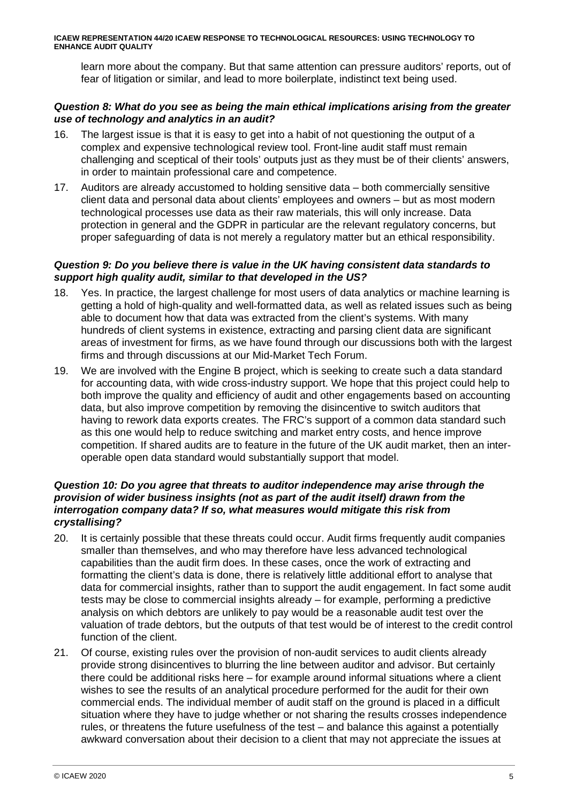learn more about the company. But that same attention can pressure auditors' reports, out of fear of litigation or similar, and lead to more boilerplate, indistinct text being used.

## *Question 8: What do you see as being the main ethical implications arising from the greater use of technology and analytics in an audit?*

- 16. The largest issue is that it is easy to get into a habit of not questioning the output of a complex and expensive technological review tool. Front-line audit staff must remain challenging and sceptical of their tools' outputs just as they must be of their clients' answers, in order to maintain professional care and competence.
- 17. Auditors are already accustomed to holding sensitive data both commercially sensitive client data and personal data about clients' employees and owners – but as most modern technological processes use data as their raw materials, this will only increase. Data protection in general and the GDPR in particular are the relevant regulatory concerns, but proper safeguarding of data is not merely a regulatory matter but an ethical responsibility.

# *Question 9: Do you believe there is value in the UK having consistent data standards to support high quality audit, similar to that developed in the US?*

- 18. Yes. In practice, the largest challenge for most users of data analytics or machine learning is getting a hold of high-quality and well-formatted data, as well as related issues such as being able to document how that data was extracted from the client's systems. With many hundreds of client systems in existence, extracting and parsing client data are significant areas of investment for firms, as we have found through our discussions both with the largest firms and through discussions at our Mid-Market Tech Forum.
- 19. We are involved with the Engine B project, which is seeking to create such a data standard for accounting data, with wide cross-industry support. We hope that this project could help to both improve the quality and efficiency of audit and other engagements based on accounting data, but also improve competition by removing the disincentive to switch auditors that having to rework data exports creates. The FRC's support of a common data standard such as this one would help to reduce switching and market entry costs, and hence improve competition. If shared audits are to feature in the future of the UK audit market, then an interoperable open data standard would substantially support that model.

# *Question 10: Do you agree that threats to auditor independence may arise through the provision of wider business insights (not as part of the audit itself) drawn from the interrogation company data? If so, what measures would mitigate this risk from crystallising?*

- 20. It is certainly possible that these threats could occur. Audit firms frequently audit companies smaller than themselves, and who may therefore have less advanced technological capabilities than the audit firm does. In these cases, once the work of extracting and formatting the client's data is done, there is relatively little additional effort to analyse that data for commercial insights, rather than to support the audit engagement. In fact some audit tests may be close to commercial insights already – for example, performing a predictive analysis on which debtors are unlikely to pay would be a reasonable audit test over the valuation of trade debtors, but the outputs of that test would be of interest to the credit control function of the client.
- 21. Of course, existing rules over the provision of non-audit services to audit clients already provide strong disincentives to blurring the line between auditor and advisor. But certainly there could be additional risks here – for example around informal situations where a client wishes to see the results of an analytical procedure performed for the audit for their own commercial ends. The individual member of audit staff on the ground is placed in a difficult situation where they have to judge whether or not sharing the results crosses independence rules, or threatens the future usefulness of the test – and balance this against a potentially awkward conversation about their decision to a client that may not appreciate the issues at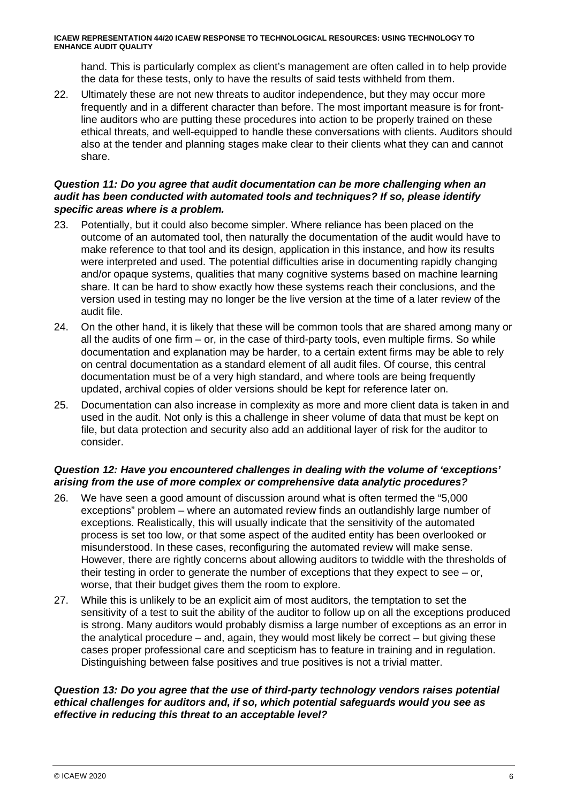hand. This is particularly complex as client's management are often called in to help provide the data for these tests, only to have the results of said tests withheld from them.

22. Ultimately these are not new threats to auditor independence, but they may occur more frequently and in a different character than before. The most important measure is for frontline auditors who are putting these procedures into action to be properly trained on these ethical threats, and well-equipped to handle these conversations with clients. Auditors should also at the tender and planning stages make clear to their clients what they can and cannot share.

#### *Question 11: Do you agree that audit documentation can be more challenging when an audit has been conducted with automated tools and techniques? If so, please identify specific areas where is a problem.*

- 23. Potentially, but it could also become simpler. Where reliance has been placed on the outcome of an automated tool, then naturally the documentation of the audit would have to make reference to that tool and its design, application in this instance, and how its results were interpreted and used. The potential difficulties arise in documenting rapidly changing and/or opaque systems, qualities that many cognitive systems based on machine learning share. It can be hard to show exactly how these systems reach their conclusions, and the version used in testing may no longer be the live version at the time of a later review of the audit file.
- 24. On the other hand, it is likely that these will be common tools that are shared among many or all the audits of one firm – or, in the case of third-party tools, even multiple firms. So while documentation and explanation may be harder, to a certain extent firms may be able to rely on central documentation as a standard element of all audit files. Of course, this central documentation must be of a very high standard, and where tools are being frequently updated, archival copies of older versions should be kept for reference later on.
- 25. Documentation can also increase in complexity as more and more client data is taken in and used in the audit. Not only is this a challenge in sheer volume of data that must be kept on file, but data protection and security also add an additional layer of risk for the auditor to consider.

# *Question 12: Have you encountered challenges in dealing with the volume of 'exceptions' arising from the use of more complex or comprehensive data analytic procedures?*

- 26. We have seen a good amount of discussion around what is often termed the "5,000 exceptions" problem – where an automated review finds an outlandishly large number of exceptions. Realistically, this will usually indicate that the sensitivity of the automated process is set too low, or that some aspect of the audited entity has been overlooked or misunderstood. In these cases, reconfiguring the automated review will make sense. However, there are rightly concerns about allowing auditors to twiddle with the thresholds of their testing in order to generate the number of exceptions that they expect to see – or, worse, that their budget gives them the room to explore.
- 27. While this is unlikely to be an explicit aim of most auditors, the temptation to set the sensitivity of a test to suit the ability of the auditor to follow up on all the exceptions produced is strong. Many auditors would probably dismiss a large number of exceptions as an error in the analytical procedure – and, again, they would most likely be correct – but giving these cases proper professional care and scepticism has to feature in training and in regulation. Distinguishing between false positives and true positives is not a trivial matter.

#### *Question 13: Do you agree that the use of third-party technology vendors raises potential ethical challenges for auditors and, if so, which potential safeguards would you see as effective in reducing this threat to an acceptable level?*